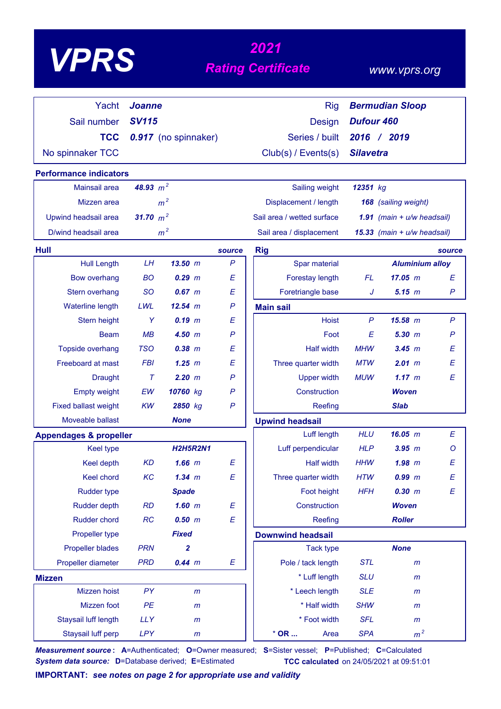# *<sup>2021</sup> VPRS Rating Certificate*

# *www.vprs.org*

| Yacht                             | <b>Joanne</b>  |                      |              | <b>Rig</b>                 |                             | <b>Bermudian Sloop</b>       |              |  |  |
|-----------------------------------|----------------|----------------------|--------------|----------------------------|-----------------------------|------------------------------|--------------|--|--|
| Sail number                       | <b>SV115</b>   |                      |              | <b>Design</b>              | <b>Dufour 460</b>           |                              |              |  |  |
| <b>TCC</b>                        |                | 0.917 (no spinnaker) |              | Series / built             | 2016                        | / 2019                       |              |  |  |
| No spinnaker TCC                  |                |                      |              | Club(s) / Events(s)        | <b>Silavetra</b>            |                              |              |  |  |
| <b>Performance indicators</b>     |                |                      |              |                            |                             |                              |              |  |  |
| Mainsail area                     | 48.93 $m^2$    |                      |              | Sailing weight             | 12351 kg                    |                              |              |  |  |
| Mizzen area                       |                | m <sup>2</sup>       |              | Displacement / length      |                             | 168 (sailing weight)         |              |  |  |
| Upwind headsail area              | 31.70 $m^2$    |                      |              | Sail area / wetted surface |                             | 1.91 (main $+ u/w$ headsail) |              |  |  |
| D/wind headsail area              | m <sup>2</sup> |                      |              | Sail area / displacement   | 15.33 (main + u/w headsail) |                              |              |  |  |
| Hull                              |                |                      | source       | <b>Rig</b>                 |                             |                              | source       |  |  |
| <b>Hull Length</b>                | LH             | 13.50 m              | $\mathsf{P}$ | Spar material              |                             | <b>Aluminium alloy</b>       |              |  |  |
| <b>Bow overhang</b>               | <b>BO</b>      | $0.29$ $m$           | E            | Forestay length            | <b>FL</b>                   | 17.05 m                      | E            |  |  |
| Stern overhang                    | <b>SO</b>      | $0.67$ m             | E            | Foretriangle base          | J                           | $5.15$ $m$                   | P            |  |  |
| Waterline length                  | LWL            | 12.54 m              | $\mathsf{P}$ | <b>Main sail</b>           |                             |                              |              |  |  |
| Stern height                      | Y              | $0.19$ m             | Е            | <b>Hoist</b>               | $\mathsf{P}$                | 15.58 m                      | $\mathsf{P}$ |  |  |
| <b>Beam</b>                       | MB             | $4.50$ m             | $\mathsf{P}$ | Foot                       | E                           | $5.30$ $m$                   | $\mathsf{P}$ |  |  |
| <b>Topside overhang</b>           | <b>TSO</b>     | $0.38$ $m$           | E            | <b>Half width</b>          | <b>MHW</b>                  | 3.45 m                       | E            |  |  |
| Freeboard at mast                 | <b>FBI</b>     | $1.25$ $m$           | E            | Three quarter width        | <b>MTW</b>                  | 2.01 m                       | Е            |  |  |
| <b>Draught</b>                    | $\tau$         | 2.20 m               | P            | <b>Upper width</b>         | <b>MUW</b>                  | 1.17~m                       | E            |  |  |
| <b>Empty weight</b>               | EW             | 10760 kg             | $\mathsf{P}$ | Construction               |                             | <b>Woven</b>                 |              |  |  |
| <b>Fixed ballast weight</b>       | <b>KW</b>      | 2850 kg              | $\mathsf{P}$ | Reefing                    |                             | <b>Slab</b>                  |              |  |  |
| Moveable ballast                  |                | <b>None</b>          |              | <b>Upwind headsail</b>     |                             |                              |              |  |  |
| <b>Appendages &amp; propeller</b> |                |                      |              | Luff length                | <b>HLU</b>                  | 16.05 m                      | Е            |  |  |
| <b>Keel type</b>                  |                | <b>H2H5R2N1</b>      |              | Luff perpendicular         | <b>HLP</b>                  | $3.95$ $m$                   | O            |  |  |
| <b>Keel depth</b>                 | <b>KD</b>      | $1.66$ $m$           | E            | <b>Half width</b>          | <b>HHW</b>                  | $1.98$ $m$                   | E            |  |  |
| <b>Keel chord</b>                 | KC             | $1.34$ m             | E            | Three quarter width        | <b>HTW</b>                  | 0.99 m                       | E            |  |  |
| <b>Rudder type</b>                |                | <b>Spade</b>         |              | Foot height                | <b>HFH</b>                  | 0.30 m                       | E            |  |  |
| <b>Rudder depth</b>               | RD             | $1.60$ m             | E            | Construction               |                             | <b>Woven</b>                 |              |  |  |
| Rudder chord                      | RC             | 0.50 m               | E            | Reefing                    |                             | <b>Roller</b>                |              |  |  |
| Propeller type                    |                | <b>Fixed</b>         |              | <b>Downwind headsail</b>   |                             |                              |              |  |  |
| <b>Propeller blades</b>           | <b>PRN</b>     | $\mathbf{2}$         |              | <b>Tack type</b>           |                             | <b>None</b>                  |              |  |  |
| Propeller diameter                | <b>PRD</b>     | $0.44$ m             | E            | Pole / tack length         | <b>STL</b>                  | $\mathsf{m}$                 |              |  |  |
| <b>Mizzen</b>                     |                |                      |              | * Luff length              | <b>SLU</b>                  | $\mathsf{m}$                 |              |  |  |
| Mizzen hoist                      | PY             | $\mathsf{m}$         |              | * Leech length             | <b>SLE</b>                  | $\mathsf{m}$                 |              |  |  |
| Mizzen foot                       | PE             | $\mathsf{m}$         |              | * Half width               | <b>SHW</b>                  | $\mathsf{m}$                 |              |  |  |
| Staysail luff length              | <b>LLY</b>     | $\mathsf{m}$         |              | * Foot width               | <b>SFL</b>                  | m                            |              |  |  |
| Staysail luff perp                | <b>LPY</b>     | $\mathsf{m}$         |              | $*$ OR $\ldots$<br>Area    | <b>SPA</b>                  | m <sup>2</sup>               |              |  |  |

*Measurement source* **: A**=Authenticated; **O**=Owner measured; **S**=Sister vessel; **P**=Published; **C**=Calculated *System data source:* **D**=Database derived; **E**=Estimated **TCC calculated** on 24/05/2021 at 09:51:01

**IMPORTANT:** *see notes on page 2 for appropriate use and validity*